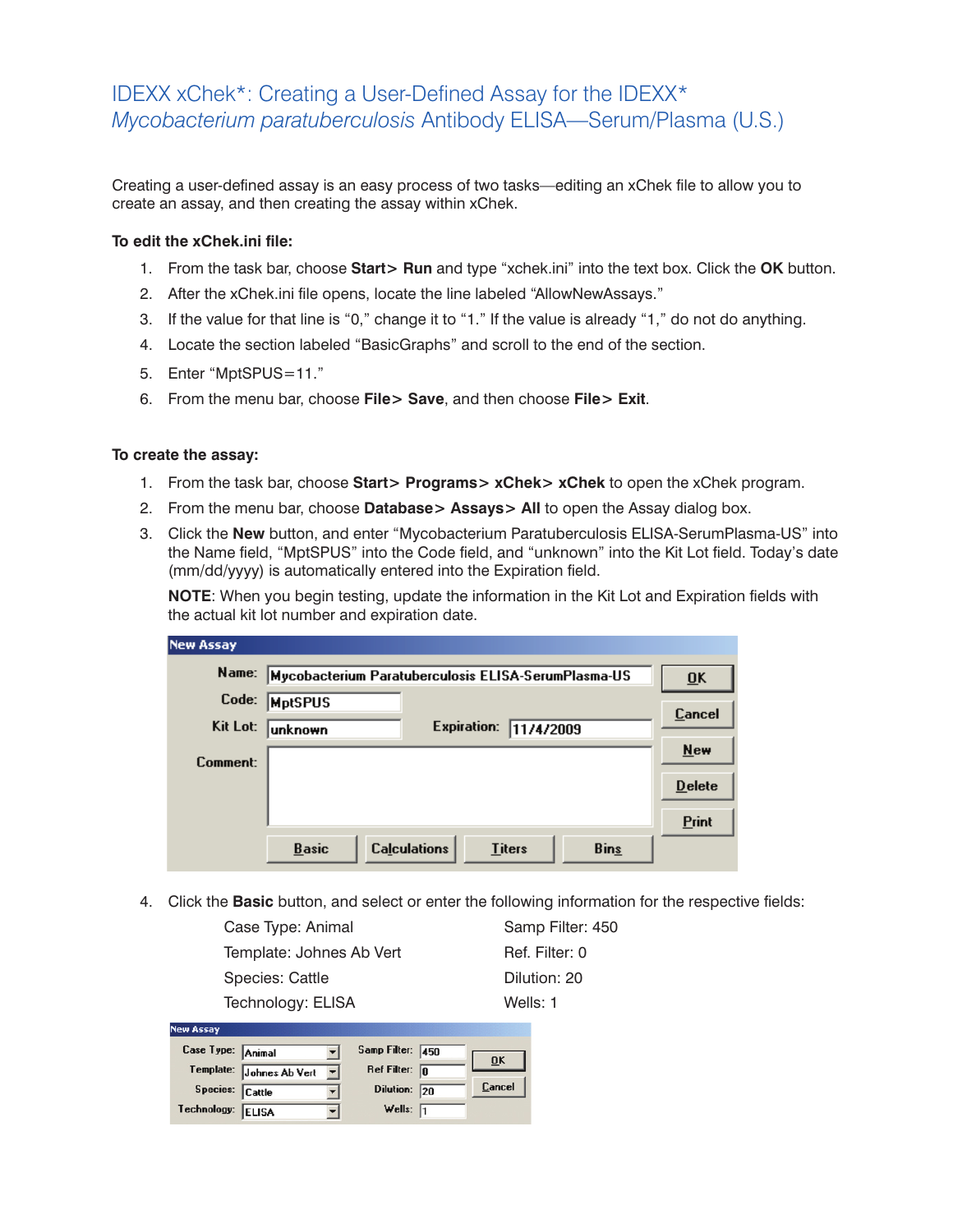## IDEXX xChek\*: Creating a User-Defined Assay for the IDEXX\* *Mycobacterium paratuberculosis* Antibody ELISA—Serum/Plasma (U.S.)

Creating a user-defined assay is an easy process of two tasks—editing an xChek file to allow you to create an assay, and then creating the assay within xChek.

## **To edit the xChek.ini file:**

- 1. From the task bar, choose **Start> Run** and type "xchek.ini" into the text box. Click the **OK** button.
- 2. After the xChek.ini file opens, locate the line labeled "AllowNewAssays."
- 3. If the value for that line is "0," change it to "1." If the value is already "1," do not do anything.
- 4. Locate the section labeled "BasicGraphs" and scroll to the end of the section.
- 5. Enter "MptSPUS=11."
- 6. From the menu bar, choose **File> Save**, and then choose **File> Exit**.

## **To create the assay:**

- 1. From the task bar, choose **Start> Programs> xChek> xChek** to open the xChek program.
- 2. From the menu bar, choose **Database> Assays> All** to open the Assay dialog box.
- 3. Click the **New** button, and enter "Mycobacterium Paratuberculosis ELISA-SerumPlasma-US" into the Name field, "MptSPUS" into the Code field, and "unknown" into the Kit Lot field. Today's date (mm/dd/yyyy) is automatically entered into the Expiration field.

**NOTE:** When you begin testing, update the information in the Kit Lot and Expiration fields with the actual kit lot number and expiration date.

| <b>New Assay</b> |                                                                     |                           |
|------------------|---------------------------------------------------------------------|---------------------------|
| Name:            | Mycobacterium Paratuberculosis ELISA-SerumPlasma-US                 | $\overline{\mathbf{0}}$ K |
| Code:            | <b>MptSPUS</b>                                                      |                           |
| Kit Lot:         | <b>Expiration:</b><br>11/4/2009<br>lunknown                         | Cancel                    |
| Comment:         |                                                                     | $New$                     |
|                  |                                                                     | <b>Delete</b>             |
|                  |                                                                     | <b>Print</b>              |
|                  | <b>Calculations</b><br><b>Bins</b><br><b>Basic</b><br><b>Titers</b> |                           |

4. Click the **Basic** button, and select or enter the following information for the respective fields:

| Case Type: Animal        | Samp Filter: 450 |
|--------------------------|------------------|
| Template: Johnes Ab Vert | Ref. Filter: 0   |
| Species: Cattle          | Dilution: 20     |
| Technology: ELISA        | Wells: 1         |

| <b>New Assay</b>  |                          |                         |        |
|-------------------|--------------------------|-------------------------|--------|
| Case Type: Animal |                          | Samp Filter: 450        |        |
|                   | Template: Johnes Ab Vert | Ref Filter: $\boxed{0}$ | 0K     |
| Species: Cattle   |                          | Dilution: 20            | Cancel |
| Technology: ELISA |                          | Wells: $\sqrt{1}$       |        |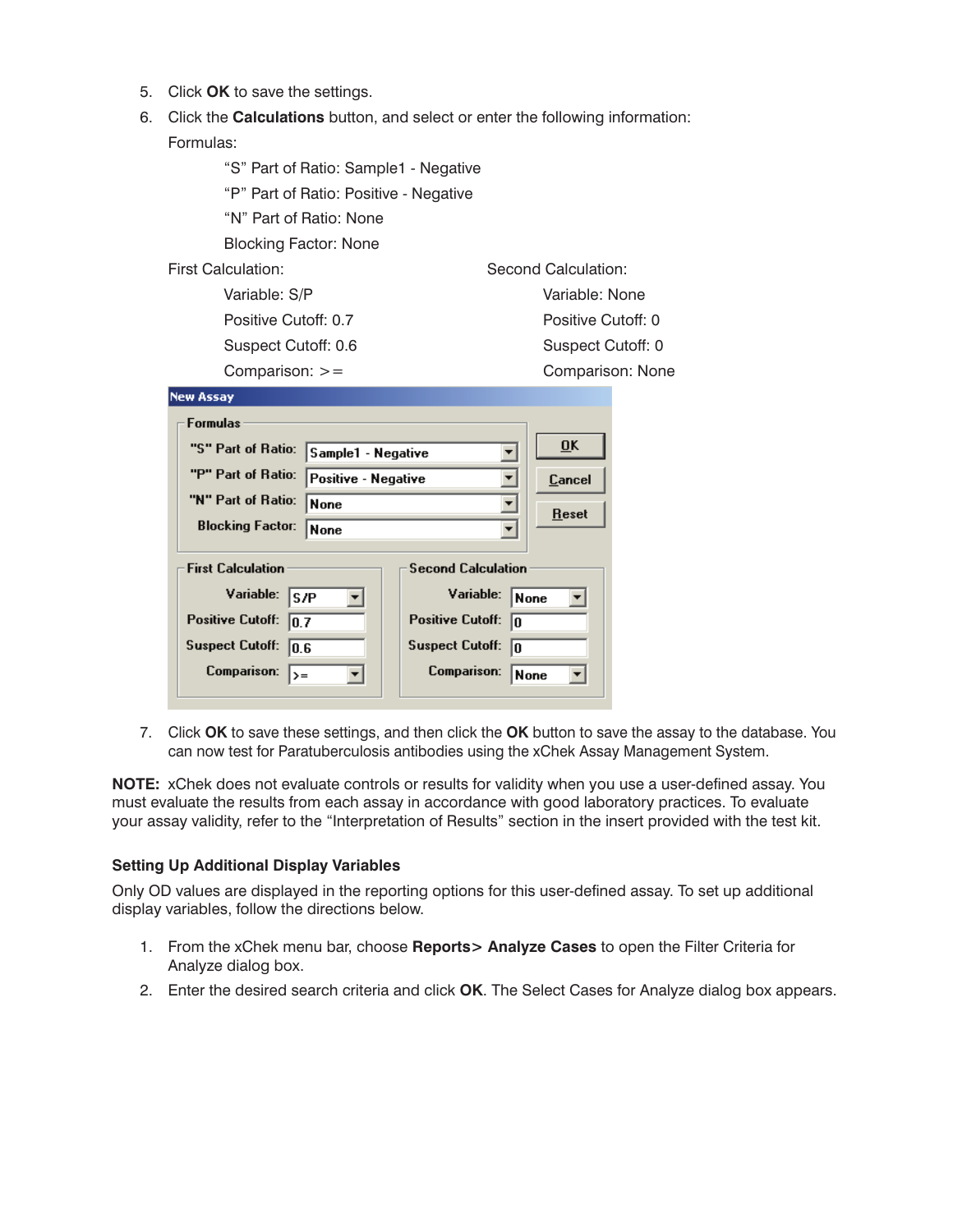- 5. Click **OK** to save the settings.
- 6. Click the **Calculations** button, and select or enter the following information: Formulas:

| "S" Part of Ratio: Sample1 - Negative     |                                        |  |  |  |  |  |
|-------------------------------------------|----------------------------------------|--|--|--|--|--|
|                                           | "P" Part of Ratio: Positive - Negative |  |  |  |  |  |
| "N" Part of Ratio: None                   |                                        |  |  |  |  |  |
| <b>Blocking Factor: None</b>              |                                        |  |  |  |  |  |
| <b>First Calculation:</b>                 | Second Calculation:                    |  |  |  |  |  |
| Variable: S/P                             | Variable: None                         |  |  |  |  |  |
| Positive Cutoff: 0.7                      | Positive Cutoff: 0                     |  |  |  |  |  |
| Suspect Cutoff: 0.6                       | Suspect Cutoff: 0                      |  |  |  |  |  |
| Comparison: $>=$                          | Comparison: None                       |  |  |  |  |  |
| <b>New Assay</b>                          |                                        |  |  |  |  |  |
| <b>Formulas</b>                           |                                        |  |  |  |  |  |
| "S" Part of Ratio:<br>Sample1 - Negative  | $\overline{0}$ K                       |  |  |  |  |  |
| "P" Part of Ratio:<br>Positive - Negative | Cancel                                 |  |  |  |  |  |
| "N" Part of Ratio:<br><b>None</b>         | <b>Reset</b>                           |  |  |  |  |  |
| <b>Blocking Factor:</b><br>None           |                                        |  |  |  |  |  |
|                                           |                                        |  |  |  |  |  |
| <b>First Calculation</b>                  | <b>Second Calculation</b>              |  |  |  |  |  |
| Variable:<br>S/P                          | Variable:<br>None                      |  |  |  |  |  |
| <b>Positive Cutoff:</b><br> 0.7           | <b>Positive Cutoff:</b><br>lo          |  |  |  |  |  |
| <b>Suspect Cutoff:</b><br>10.6            | <b>Suspect Cutoff:</b><br>lo           |  |  |  |  |  |
| <b>Comparison:</b><br>$\rangle =$         | <b>Comparison:</b><br>None             |  |  |  |  |  |

7. Click **OK** to save these settings, and then click the **OK** button to save the assay to the database. You can now test for Paratuberculosis antibodies using the xChek Assay Management System.

**NOTE:** xChek does not evaluate controls or results for validity when you use a user-defined assay. You must evaluate the results from each assay in accordance with good laboratory practices. To evaluate your assay validity, refer to the "Interpretation of Results" section in the insert provided with the test kit.

## **Setting Up Additional Display Variables**

Only OD values are displayed in the reporting options for this user-defined assay. To set up additional display variables, follow the directions below.

- 1. From the xChek menu bar, choose **Reports> Analyze Cases** to open the Filter Criteria for Analyze dialog box.
- 2. Enter the desired search criteria and click **OK**. The Select Cases for Analyze dialog box appears.